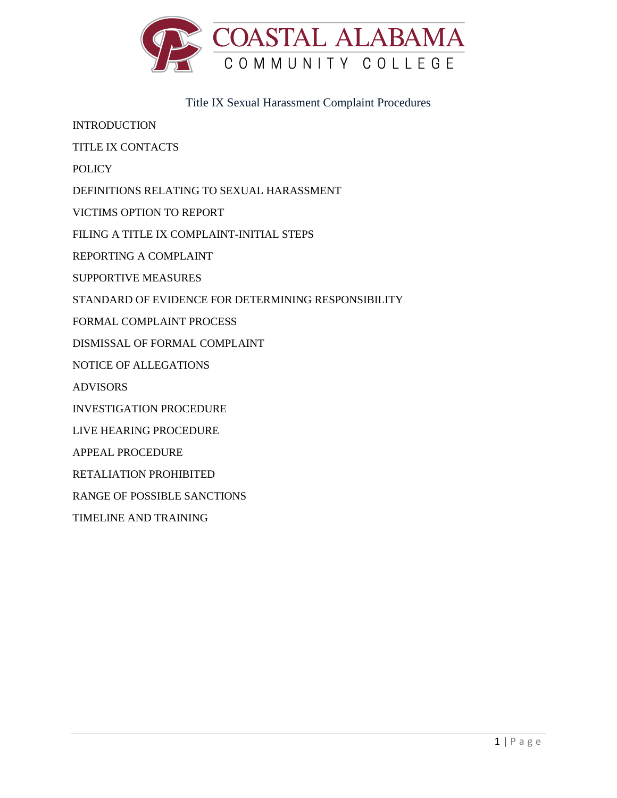

Title IX Sexual Harassment Complaint Procedures

INTRODUCTION

TITLE IX CONTACTS

POLICY

DEFINITIONS RELATING TO SEXUAL HARASSMENT

VICTIMS OPTION TO REPORT

FILING A TITLE IX COMPLAINT-INITIAL STEPS

REPORTING A COMPLAINT

SUPPORTIVE MEASURES

STANDARD OF EVIDENCE FOR DETERMINING RESPONSIBILITY

FORMAL COMPLAINT PROCESS

DISMISSAL OF FORMAL COMPLAINT

NOTICE OF ALLEGATIONS

ADVISORS

INVESTIGATION PROCEDURE

LIVE HEARING PROCEDURE

APPEAL PROCEDURE

RETALIATION PROHIBITED

RANGE OF POSSIBLE SANCTIONS

TIMELINE AND TRAINING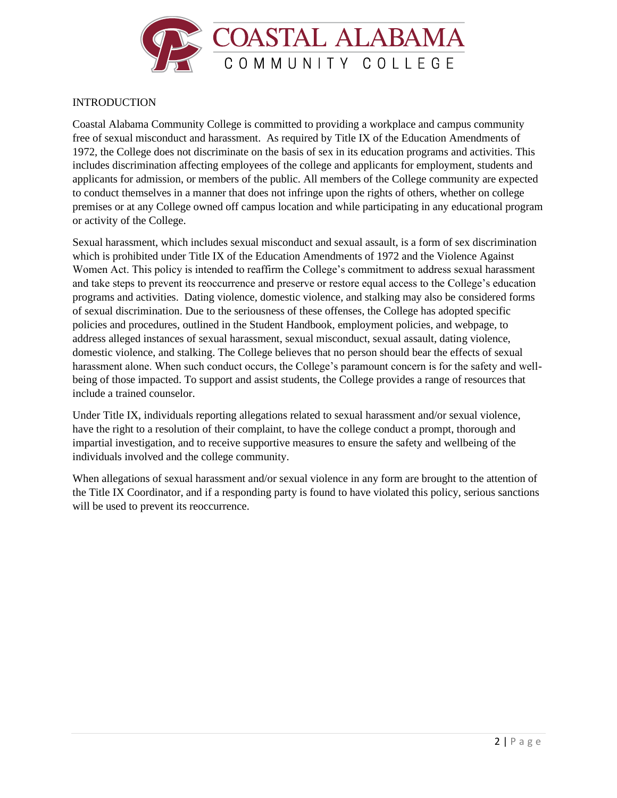

# **INTRODUCTION**

Coastal Alabama Community College is committed to providing a workplace and campus community free of sexual misconduct and harassment. As required by Title IX of the Education Amendments of 1972, the College does not discriminate on the basis of sex in its education programs and activities. This includes discrimination affecting employees of the college and applicants for employment, students and applicants for admission, or members of the public. All members of the College community are expected to conduct themselves in a manner that does not infringe upon the rights of others, whether on college premises or at any College owned off campus location and while participating in any educational program or activity of the College.

Sexual harassment, which includes sexual misconduct and sexual assault, is a form of sex discrimination which is prohibited under Title IX of the Education Amendments of 1972 and the Violence Against Women Act. This policy is intended to reaffirm the College's commitment to address sexual harassment and take steps to prevent its reoccurrence and preserve or restore equal access to the College's education programs and activities. Dating violence, domestic violence, and stalking may also be considered forms of sexual discrimination. Due to the seriousness of these offenses, the College has adopted specific policies and procedures, outlined in the Student Handbook, employment policies, and webpage, to address alleged instances of sexual harassment, sexual misconduct, sexual assault, dating violence, domestic violence, and stalking. The College believes that no person should bear the effects of sexual harassment alone. When such conduct occurs, the College's paramount concern is for the safety and wellbeing of those impacted. To support and assist students, the College provides a range of resources that include a trained counselor.

Under Title IX, individuals reporting allegations related to sexual harassment and/or sexual violence, have the right to a resolution of their complaint, to have the college conduct a prompt, thorough and impartial investigation, and to receive supportive measures to ensure the safety and wellbeing of the individuals involved and the college community.

When allegations of sexual harassment and/or sexual violence in any form are brought to the attention of the Title IX Coordinator, and if a responding party is found to have violated this policy, serious sanctions will be used to prevent its reoccurrence.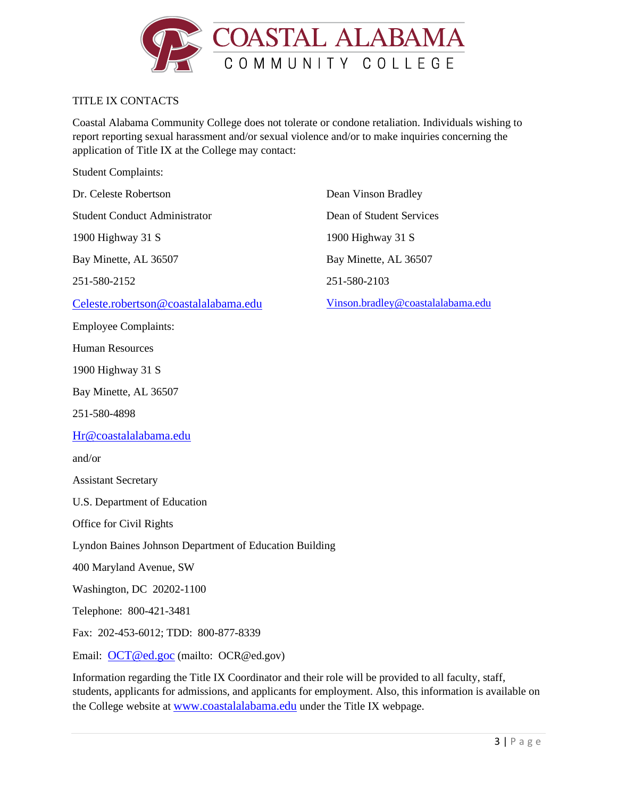

## TITLE IX CONTACTS

Coastal Alabama Community College does not tolerate or condone retaliation. Individuals wishing to report reporting sexual harassment and/or sexual violence and/or to make inquiries concerning the application of Title IX at the College may contact:

Student Complaints:

Dr. Celeste Robertson Student Conduct Administrator

1900 Highway 31 S

Bay Minette, AL 36507

251-580-2152

[Celeste.robertson@coastalalabama.edu](mailto:Celeste.robertson@coastalalabama.edu)

Employee Complaints:

Human Resources

1900 Highway 31 S

Bay Minette, AL 36507

251-580-4898

[Hr@coastalalabama.edu](mailto:Hr@coastalalabama.edu)

and/or

Assistant Secretary

U.S. Department of Education

Office for Civil Rights

Lyndon Baines Johnson Department of Education Building

400 Maryland Avenue, SW

Washington, DC 20202-1100

Telephone: 800-421-3481

Fax: 202-453-6012; TDD: 800-877-8339

Email: [OCT@ed.goc](mailto:OCT@ed.goc) (mailto: OCR@ed.gov)

Information regarding the Title IX Coordinator and their role will be provided to all faculty, staff, students, applicants for admissions, and applicants for employment. Also, this information is available on the College website at [www.coastalalabama.edu](http://www.coastalalabama.edu/) under the Title IX webpage.

Dean Vinson Bradley Dean of Student Services 1900 Highway 31 S Bay Minette, AL 36507 251-580-2103

[Vinson.bradley@coastalalabama.edu](mailto:Vinson.bradley@coastalalabama.edu)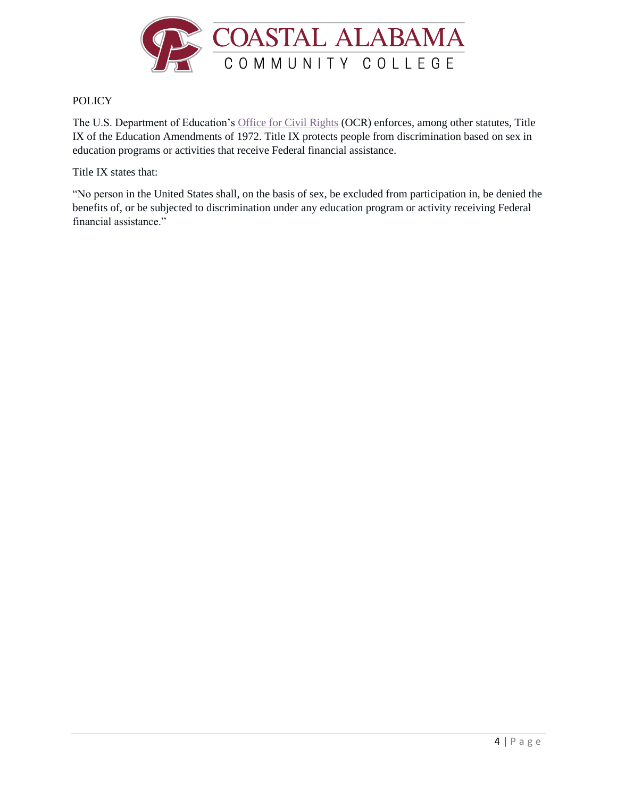

## **POLICY**

The U.S. Department of Education's [Office for Civil Rights](https://www2.ed.gov/about/offices/list/ocr/aboutocr.html) (OCR) enforces, among other statutes, Title IX of the Education Amendments of 1972. Title IX protects people from discrimination based on sex in education programs or activities that receive Federal financial assistance.

Title IX states that:

"No person in the United States shall, on the basis of sex, be excluded from participation in, be denied the benefits of, or be subjected to discrimination under any education program or activity receiving Federal financial assistance."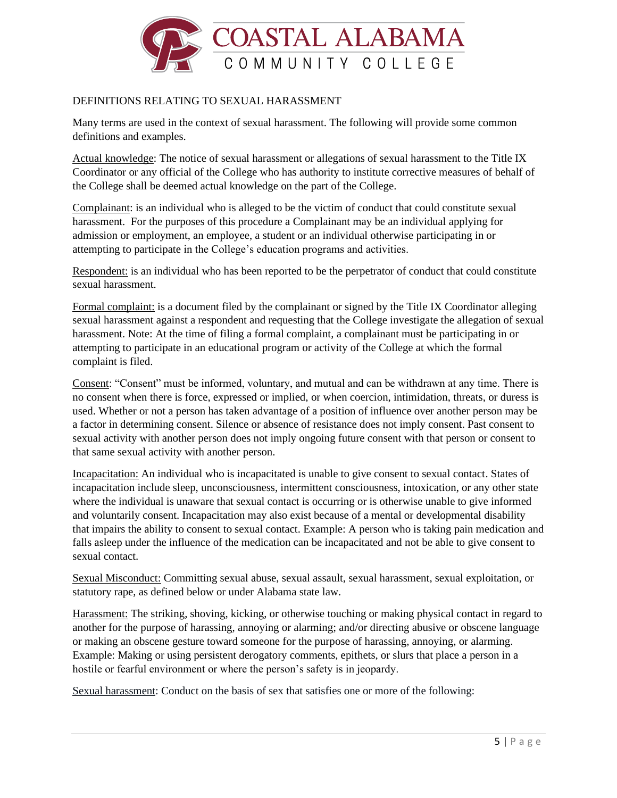

# DEFINITIONS RELATING TO SEXUAL HARASSMENT

Many terms are used in the context of sexual harassment. The following will provide some common definitions and examples.

Actual knowledge: The notice of sexual harassment or allegations of sexual harassment to the Title IX Coordinator or any official of the College who has authority to institute corrective measures of behalf of the College shall be deemed actual knowledge on the part of the College.

Complainant: is an individual who is alleged to be the victim of conduct that could constitute sexual harassment. For the purposes of this procedure a Complainant may be an individual applying for admission or employment, an employee, a student or an individual otherwise participating in or attempting to participate in the College's education programs and activities.

Respondent: is an individual who has been reported to be the perpetrator of conduct that could constitute sexual harassment.

Formal complaint: is a document filed by the complainant or signed by the Title IX Coordinator alleging sexual harassment against a respondent and requesting that the College investigate the allegation of sexual harassment. Note: At the time of filing a formal complaint, a complainant must be participating in or attempting to participate in an educational program or activity of the College at which the formal complaint is filed.

Consent: "Consent" must be informed, voluntary, and mutual and can be withdrawn at any time. There is no consent when there is force, expressed or implied, or when coercion, intimidation, threats, or duress is used. Whether or not a person has taken advantage of a position of influence over another person may be a factor in determining consent. Silence or absence of resistance does not imply consent. Past consent to sexual activity with another person does not imply ongoing future consent with that person or consent to that same sexual activity with another person.

Incapacitation: An individual who is incapacitated is unable to give consent to sexual contact. States of incapacitation include sleep, unconsciousness, intermittent consciousness, intoxication, or any other state where the individual is unaware that sexual contact is occurring or is otherwise unable to give informed and voluntarily consent. Incapacitation may also exist because of a mental or developmental disability that impairs the ability to consent to sexual contact. Example: A person who is taking pain medication and falls asleep under the influence of the medication can be incapacitated and not be able to give consent to sexual contact.

Sexual Misconduct: Committing sexual abuse, sexual assault, sexual harassment, sexual exploitation, or statutory rape, as defined below or under Alabama state law.

Harassment: The striking, shoving, kicking, or otherwise touching or making physical contact in regard to another for the purpose of harassing, annoying or alarming; and/or directing abusive or obscene language or making an obscene gesture toward someone for the purpose of harassing, annoying, or alarming. Example: Making or using persistent derogatory comments, epithets, or slurs that place a person in a hostile or fearful environment or where the person's safety is in jeopardy.

Sexual harassment: Conduct on the basis of sex that satisfies one or more of the following: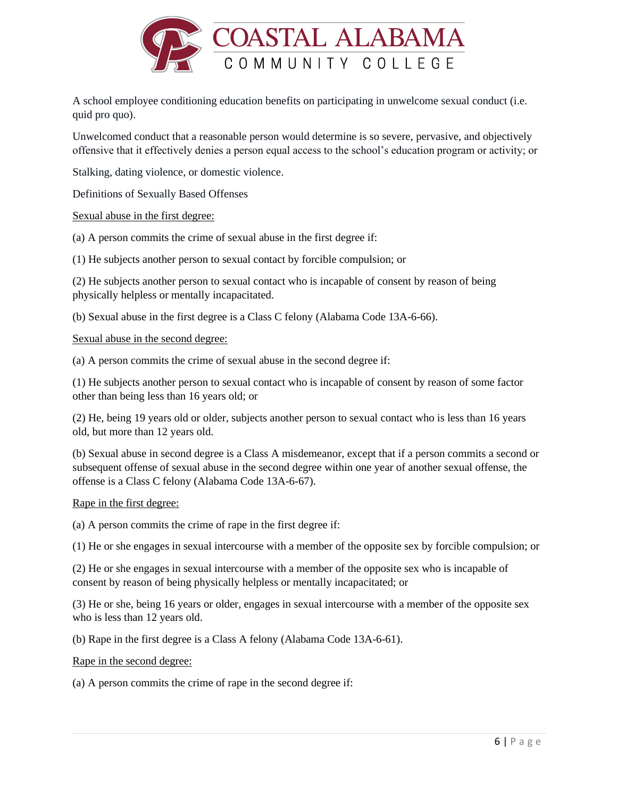

A school employee conditioning education benefits on participating in unwelcome sexual conduct (i.e. quid pro quo).

Unwelcomed conduct that a reasonable person would determine is so severe, pervasive, and objectively offensive that it effectively denies a person equal access to the school's education program or activity; or

Stalking, dating violence, or domestic violence.

Definitions of Sexually Based Offenses

Sexual abuse in the first degree:

(a) A person commits the crime of sexual abuse in the first degree if:

(1) He subjects another person to sexual contact by forcible compulsion; or

(2) He subjects another person to sexual contact who is incapable of consent by reason of being physically helpless or mentally incapacitated.

(b) Sexual abuse in the first degree is a Class C felony (Alabama Code 13A-6-66).

Sexual abuse in the second degree:

(a) A person commits the crime of sexual abuse in the second degree if:

(1) He subjects another person to sexual contact who is incapable of consent by reason of some factor other than being less than 16 years old; or

(2) He, being 19 years old or older, subjects another person to sexual contact who is less than 16 years old, but more than 12 years old.

(b) Sexual abuse in second degree is a Class A misdemeanor, except that if a person commits a second or subsequent offense of sexual abuse in the second degree within one year of another sexual offense, the offense is a Class C felony (Alabama Code 13A-6-67).

#### Rape in the first degree:

(a) A person commits the crime of rape in the first degree if:

(1) He or she engages in sexual intercourse with a member of the opposite sex by forcible compulsion; or

(2) He or she engages in sexual intercourse with a member of the opposite sex who is incapable of consent by reason of being physically helpless or mentally incapacitated; or

(3) He or she, being 16 years or older, engages in sexual intercourse with a member of the opposite sex who is less than 12 years old.

(b) Rape in the first degree is a Class A felony (Alabama Code 13A-6-61).

Rape in the second degree:

(a) A person commits the crime of rape in the second degree if: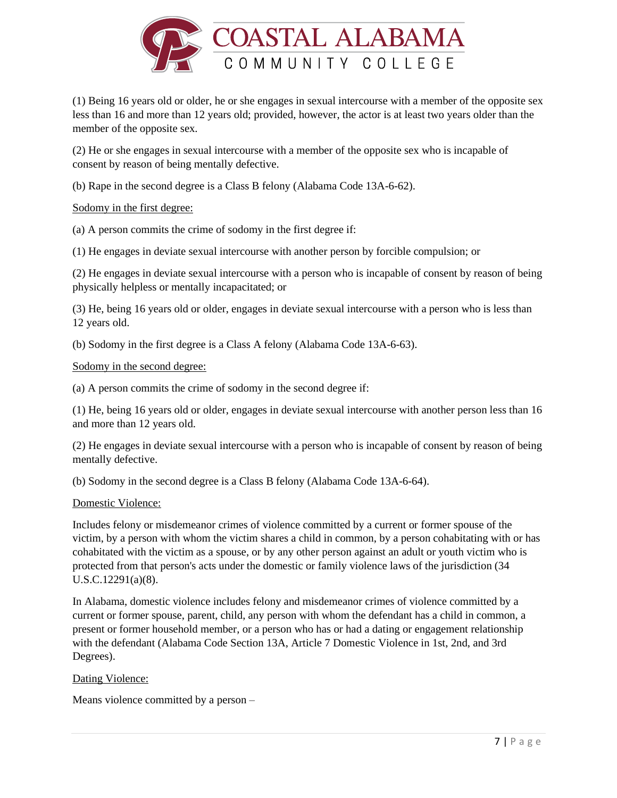

(1) Being 16 years old or older, he or she engages in sexual intercourse with a member of the opposite sex less than 16 and more than 12 years old; provided, however, the actor is at least two years older than the member of the opposite sex.

(2) He or she engages in sexual intercourse with a member of the opposite sex who is incapable of consent by reason of being mentally defective.

(b) Rape in the second degree is a Class B felony (Alabama Code 13A-6-62).

### Sodomy in the first degree:

(a) A person commits the crime of sodomy in the first degree if:

(1) He engages in deviate sexual intercourse with another person by forcible compulsion; or

(2) He engages in deviate sexual intercourse with a person who is incapable of consent by reason of being physically helpless or mentally incapacitated; or

(3) He, being 16 years old or older, engages in deviate sexual intercourse with a person who is less than 12 years old.

(b) Sodomy in the first degree is a Class A felony (Alabama Code 13A-6-63).

#### Sodomy in the second degree:

(a) A person commits the crime of sodomy in the second degree if:

(1) He, being 16 years old or older, engages in deviate sexual intercourse with another person less than 16 and more than 12 years old.

(2) He engages in deviate sexual intercourse with a person who is incapable of consent by reason of being mentally defective.

(b) Sodomy in the second degree is a Class B felony (Alabama Code 13A-6-64).

### Domestic Violence:

Includes felony or misdemeanor crimes of violence committed by a current or former spouse of the victim, by a person with whom the victim shares a child in common, by a person cohabitating with or has cohabitated with the victim as a spouse, or by any other person against an adult or youth victim who is protected from that person's acts under the domestic or family violence laws of the jurisdiction (34 U.S.C.12291(a)(8).

In Alabama, domestic violence includes felony and misdemeanor crimes of violence committed by a current or former spouse, parent, child, any person with whom the defendant has a child in common, a present or former household member, or a person who has or had a dating or engagement relationship with the defendant (Alabama Code Section 13A, Article 7 Domestic Violence in 1st, 2nd, and 3rd Degrees).

### Dating Violence:

Means violence committed by a person –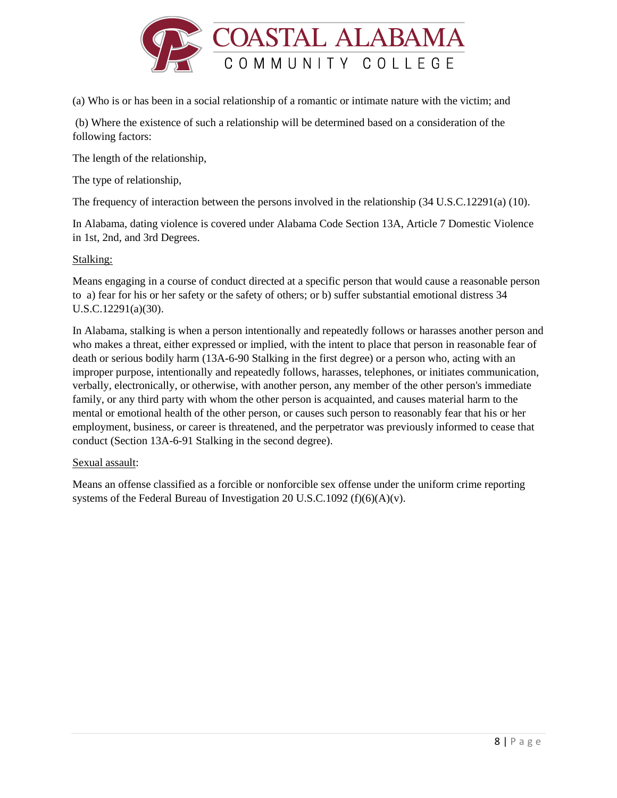

(a) Who is or has been in a social relationship of a romantic or intimate nature with the victim; and

(b) Where the existence of such a relationship will be determined based on a consideration of the following factors:

The length of the relationship,

The type of relationship,

The frequency of interaction between the persons involved in the relationship (34 U.S.C.12291(a) (10).

In Alabama, dating violence is covered under Alabama Code Section 13A, Article 7 Domestic Violence in 1st, 2nd, and 3rd Degrees.

## Stalking:

Means engaging in a course of conduct directed at a specific person that would cause a reasonable person to a) fear for his or her safety or the safety of others; or b) suffer substantial emotional distress 34 U.S.C.12291(a)(30).

In Alabama, stalking is when a person intentionally and repeatedly follows or harasses another person and who makes a threat, either expressed or implied, with the intent to place that person in reasonable fear of death or serious bodily harm (13A-6-90 Stalking in the first degree) or a person who, acting with an improper purpose, intentionally and repeatedly follows, harasses, telephones, or initiates communication, verbally, electronically, or otherwise, with another person, any member of the other person's immediate family, or any third party with whom the other person is acquainted, and causes material harm to the mental or emotional health of the other person, or causes such person to reasonably fear that his or her employment, business, or career is threatened, and the perpetrator was previously informed to cease that conduct (Section 13A-6-91 Stalking in the second degree).

### Sexual assault:

Means an offense classified as a forcible or nonforcible sex offense under the uniform crime reporting systems of the Federal Bureau of Investigation 20 U.S.C.1092 (f)(6)(A)(v).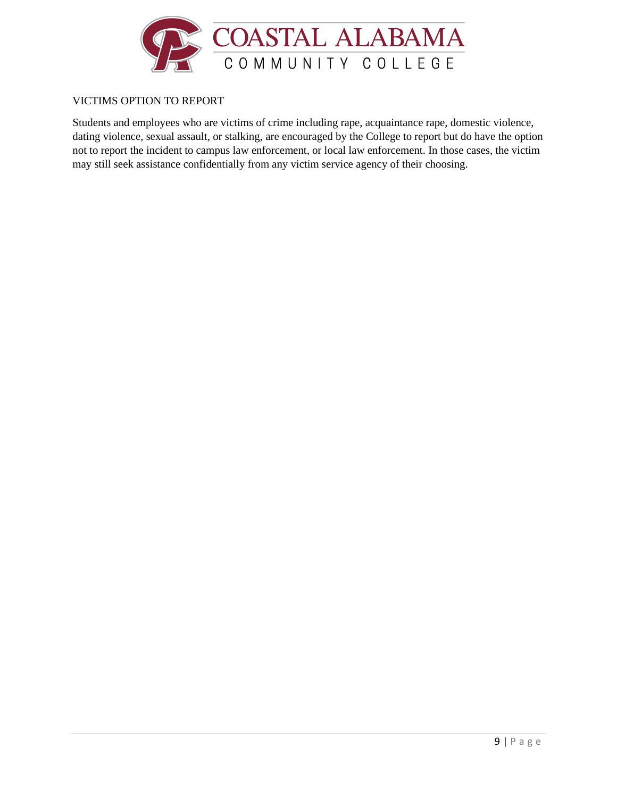

# VICTIMS OPTION TO REPORT

Students and employees who are victims of crime including rape, acquaintance rape, domestic violence, dating violence, sexual assault, or stalking, are encouraged by the College to report but do have the option not to report the incident to campus law enforcement, or local law enforcement. In those cases, the victim may still seek assistance confidentially from any victim service agency of their choosing.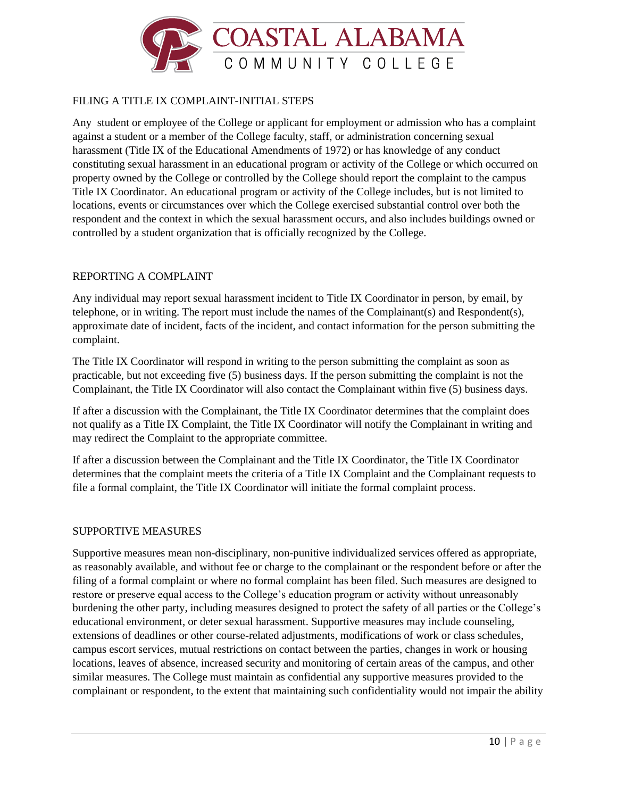

# FILING A TITLE IX COMPLAINT-INITIAL STEPS

Any student or employee of the College or applicant for employment or admission who has a complaint against a student or a member of the College faculty, staff, or administration concerning sexual harassment (Title IX of the Educational Amendments of 1972) or has knowledge of any conduct constituting sexual harassment in an educational program or activity of the College or which occurred on property owned by the College or controlled by the College should report the complaint to the campus Title IX Coordinator. An educational program or activity of the College includes, but is not limited to locations, events or circumstances over which the College exercised substantial control over both the respondent and the context in which the sexual harassment occurs, and also includes buildings owned or controlled by a student organization that is officially recognized by the College.

### REPORTING A COMPLAINT

Any individual may report sexual harassment incident to Title IX Coordinator in person, by email, by telephone, or in writing. The report must include the names of the Complainant(s) and Respondent(s), approximate date of incident, facts of the incident, and contact information for the person submitting the complaint.

The Title IX Coordinator will respond in writing to the person submitting the complaint as soon as practicable, but not exceeding five (5) business days. If the person submitting the complaint is not the Complainant, the Title IX Coordinator will also contact the Complainant within five (5) business days.

If after a discussion with the Complainant, the Title IX Coordinator determines that the complaint does not qualify as a Title IX Complaint, the Title IX Coordinator will notify the Complainant in writing and may redirect the Complaint to the appropriate committee.

If after a discussion between the Complainant and the Title IX Coordinator, the Title IX Coordinator determines that the complaint meets the criteria of a Title IX Complaint and the Complainant requests to file a formal complaint, the Title IX Coordinator will initiate the formal complaint process.

#### SUPPORTIVE MEASURES

Supportive measures mean non-disciplinary, non-punitive individualized services offered as appropriate, as reasonably available, and without fee or charge to the complainant or the respondent before or after the filing of a formal complaint or where no formal complaint has been filed. Such measures are designed to restore or preserve equal access to the College's education program or activity without unreasonably burdening the other party, including measures designed to protect the safety of all parties or the College's educational environment, or deter sexual harassment. Supportive measures may include counseling, extensions of deadlines or other course-related adjustments, modifications of work or class schedules, campus escort services, mutual restrictions on contact between the parties, changes in work or housing locations, leaves of absence, increased security and monitoring of certain areas of the campus, and other similar measures. The College must maintain as confidential any supportive measures provided to the complainant or respondent, to the extent that maintaining such confidentiality would not impair the ability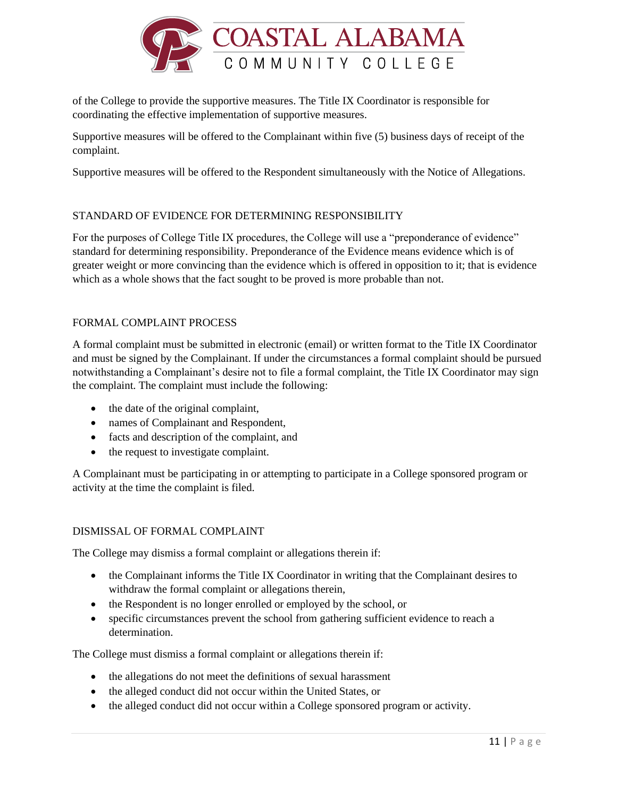

of the College to provide the supportive measures. The Title IX Coordinator is responsible for coordinating the effective implementation of supportive measures.

Supportive measures will be offered to the Complainant within five (5) business days of receipt of the complaint.

Supportive measures will be offered to the Respondent simultaneously with the Notice of Allegations.

# STANDARD OF EVIDENCE FOR DETERMINING RESPONSIBILITY

For the purposes of College Title IX procedures, the College will use a "preponderance of evidence" standard for determining responsibility. Preponderance of the Evidence means evidence which is of greater weight or more convincing than the evidence which is offered in opposition to it; that is evidence which as a whole shows that the fact sought to be proved is more probable than not.

## FORMAL COMPLAINT PROCESS

A formal complaint must be submitted in electronic (email) or written format to the Title IX Coordinator and must be signed by the Complainant. If under the circumstances a formal complaint should be pursued notwithstanding a Complainant's desire not to file a formal complaint, the Title IX Coordinator may sign the complaint. The complaint must include the following:

- the date of the original complaint,
- names of Complainant and Respondent,
- facts and description of the complaint, and
- the request to investigate complaint.

A Complainant must be participating in or attempting to participate in a College sponsored program or activity at the time the complaint is filed.

### DISMISSAL OF FORMAL COMPLAINT

The College may dismiss a formal complaint or allegations therein if:

- the Complainant informs the Title IX Coordinator in writing that the Complainant desires to withdraw the formal complaint or allegations therein,
- the Respondent is no longer enrolled or employed by the school, or
- specific circumstances prevent the school from gathering sufficient evidence to reach a determination.

The College must dismiss a formal complaint or allegations therein if:

- the allegations do not meet the definitions of sexual harassment
- the alleged conduct did not occur within the United States, or
- the alleged conduct did not occur within a College sponsored program or activity.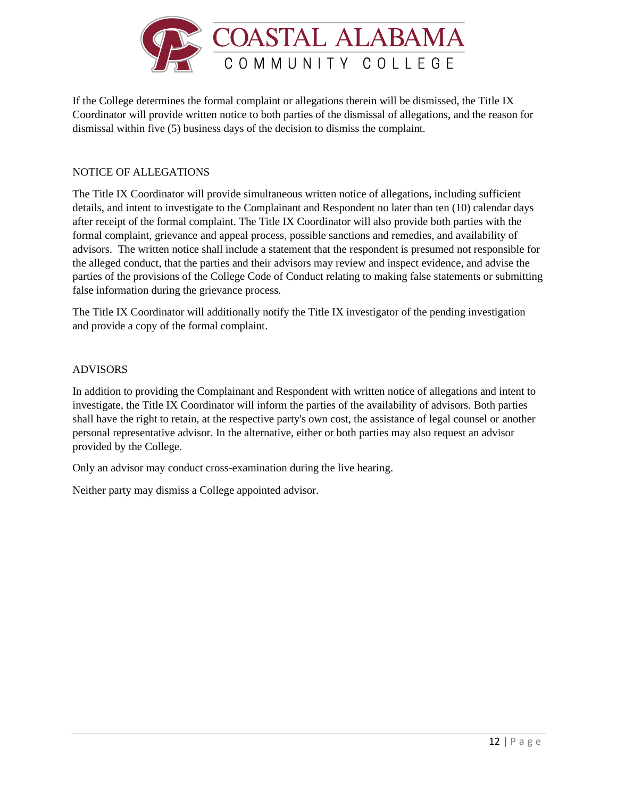

If the College determines the formal complaint or allegations therein will be dismissed, the Title IX Coordinator will provide written notice to both parties of the dismissal of allegations, and the reason for dismissal within five (5) business days of the decision to dismiss the complaint.

# NOTICE OF ALLEGATIONS

The Title IX Coordinator will provide simultaneous written notice of allegations, including sufficient details, and intent to investigate to the Complainant and Respondent no later than ten (10) calendar days after receipt of the formal complaint. The Title IX Coordinator will also provide both parties with the formal complaint, grievance and appeal process, possible sanctions and remedies, and availability of advisors. The written notice shall include a statement that the respondent is presumed not responsible for the alleged conduct, that the parties and their advisors may review and inspect evidence, and advise the parties of the provisions of the College Code of Conduct relating to making false statements or submitting false information during the grievance process.

The Title IX Coordinator will additionally notify the Title IX investigator of the pending investigation and provide a copy of the formal complaint.

#### ADVISORS

In addition to providing the Complainant and Respondent with written notice of allegations and intent to investigate, the Title IX Coordinator will inform the parties of the availability of advisors. Both parties shall have the right to retain, at the respective party's own cost, the assistance of legal counsel or another personal representative advisor. In the alternative, either or both parties may also request an advisor provided by the College.

Only an advisor may conduct cross-examination during the live hearing.

Neither party may dismiss a College appointed advisor.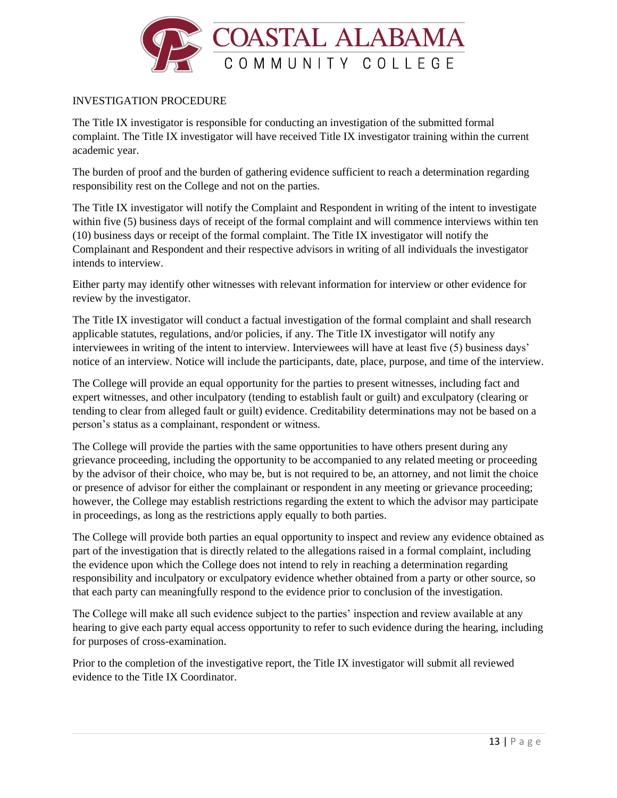

## INVESTIGATION PROCEDURE

The Title IX investigator is responsible for conducting an investigation of the submitted formal complaint. The Title IX investigator will have received Title IX investigator training within the current academic year.

The burden of proof and the burden of gathering evidence sufficient to reach a determination regarding responsibility rest on the College and not on the parties.

The Title IX investigator will notify the Complaint and Respondent in writing of the intent to investigate within five (5) business days of receipt of the formal complaint and will commence interviews within ten (10) business days or receipt of the formal complaint. The Title IX investigator will notify the Complainant and Respondent and their respective advisors in writing of all individuals the investigator intends to interview.

Either party may identify other witnesses with relevant information for interview or other evidence for review by the investigator.

The Title IX investigator will conduct a factual investigation of the formal complaint and shall research applicable statutes, regulations, and/or policies, if any. The Title IX investigator will notify any interviewees in writing of the intent to interview. Interviewees will have at least five (5) business days' notice of an interview. Notice will include the participants, date, place, purpose, and time of the interview.

The College will provide an equal opportunity for the parties to present witnesses, including fact and expert witnesses, and other inculpatory (tending to establish fault or guilt) and exculpatory (clearing or tending to clear from alleged fault or guilt) evidence. Creditability determinations may not be based on a person's status as a complainant, respondent or witness.

The College will provide the parties with the same opportunities to have others present during any grievance proceeding, including the opportunity to be accompanied to any related meeting or proceeding by the advisor of their choice, who may be, but is not required to be, an attorney, and not limit the choice or presence of advisor for either the complainant or respondent in any meeting or grievance proceeding; however, the College may establish restrictions regarding the extent to which the advisor may participate in proceedings, as long as the restrictions apply equally to both parties.

The College will provide both parties an equal opportunity to inspect and review any evidence obtained as part of the investigation that is directly related to the allegations raised in a formal complaint, including the evidence upon which the College does not intend to rely in reaching a determination regarding responsibility and inculpatory or exculpatory evidence whether obtained from a party or other source, so that each party can meaningfully respond to the evidence prior to conclusion of the investigation.

The College will make all such evidence subject to the parties' inspection and review available at any hearing to give each party equal access opportunity to refer to such evidence during the hearing, including for purposes of cross-examination.

Prior to the completion of the investigative report, the Title IX investigator will submit all reviewed evidence to the Title IX Coordinator.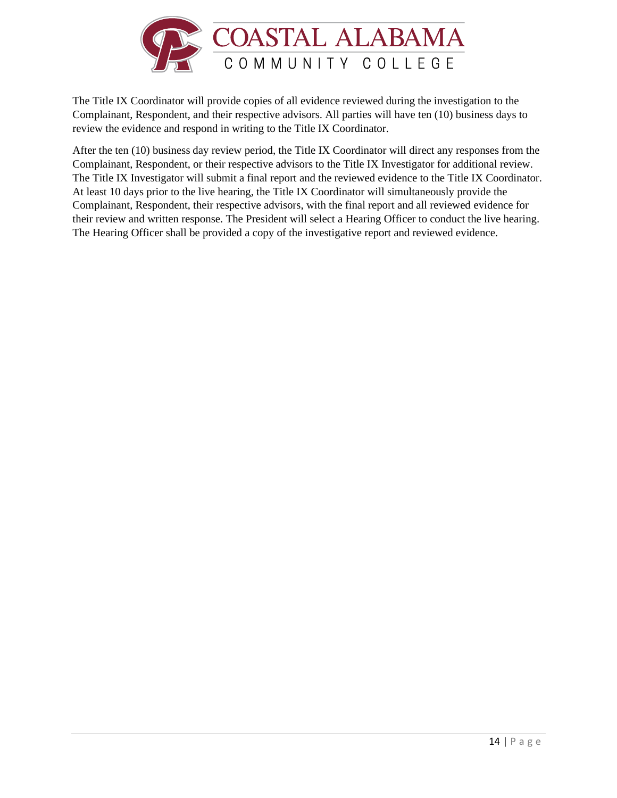

The Title IX Coordinator will provide copies of all evidence reviewed during the investigation to the Complainant, Respondent, and their respective advisors. All parties will have ten (10) business days to review the evidence and respond in writing to the Title IX Coordinator.

After the ten (10) business day review period, the Title IX Coordinator will direct any responses from the Complainant, Respondent, or their respective advisors to the Title IX Investigator for additional review. The Title IX Investigator will submit a final report and the reviewed evidence to the Title IX Coordinator. At least 10 days prior to the live hearing, the Title IX Coordinator will simultaneously provide the Complainant, Respondent, their respective advisors, with the final report and all reviewed evidence for their review and written response. The President will select a Hearing Officer to conduct the live hearing. The Hearing Officer shall be provided a copy of the investigative report and reviewed evidence.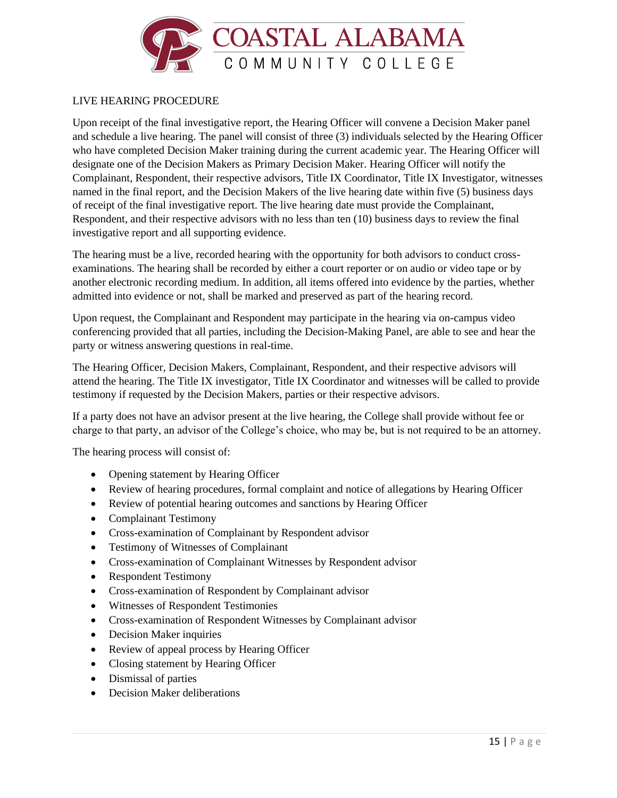

### LIVE HEARING PROCEDURE

Upon receipt of the final investigative report, the Hearing Officer will convene a Decision Maker panel and schedule a live hearing. The panel will consist of three (3) individuals selected by the Hearing Officer who have completed Decision Maker training during the current academic year. The Hearing Officer will designate one of the Decision Makers as Primary Decision Maker. Hearing Officer will notify the Complainant, Respondent, their respective advisors, Title IX Coordinator, Title IX Investigator, witnesses named in the final report, and the Decision Makers of the live hearing date within five (5) business days of receipt of the final investigative report. The live hearing date must provide the Complainant, Respondent, and their respective advisors with no less than ten (10) business days to review the final investigative report and all supporting evidence.

The hearing must be a live, recorded hearing with the opportunity for both advisors to conduct crossexaminations. The hearing shall be recorded by either a court reporter or on audio or video tape or by another electronic recording medium. In addition, all items offered into evidence by the parties, whether admitted into evidence or not, shall be marked and preserved as part of the hearing record.

Upon request, the Complainant and Respondent may participate in the hearing via on-campus video conferencing provided that all parties, including the Decision-Making Panel, are able to see and hear the party or witness answering questions in real-time.

The Hearing Officer, Decision Makers, Complainant, Respondent, and their respective advisors will attend the hearing. The Title IX investigator, Title IX Coordinator and witnesses will be called to provide testimony if requested by the Decision Makers, parties or their respective advisors.

If a party does not have an advisor present at the live hearing, the College shall provide without fee or charge to that party, an advisor of the College's choice, who may be, but is not required to be an attorney.

The hearing process will consist of:

- Opening statement by Hearing Officer
- Review of hearing procedures, formal complaint and notice of allegations by Hearing Officer
- Review of potential hearing outcomes and sanctions by Hearing Officer
- Complainant Testimony
- Cross-examination of Complainant by Respondent advisor
- Testimony of Witnesses of Complainant
- Cross-examination of Complainant Witnesses by Respondent advisor
- Respondent Testimony
- Cross-examination of Respondent by Complainant advisor
- Witnesses of Respondent Testimonies
- Cross-examination of Respondent Witnesses by Complainant advisor
- Decision Maker inquiries
- Review of appeal process by Hearing Officer
- Closing statement by Hearing Officer
- Dismissal of parties
- Decision Maker deliberations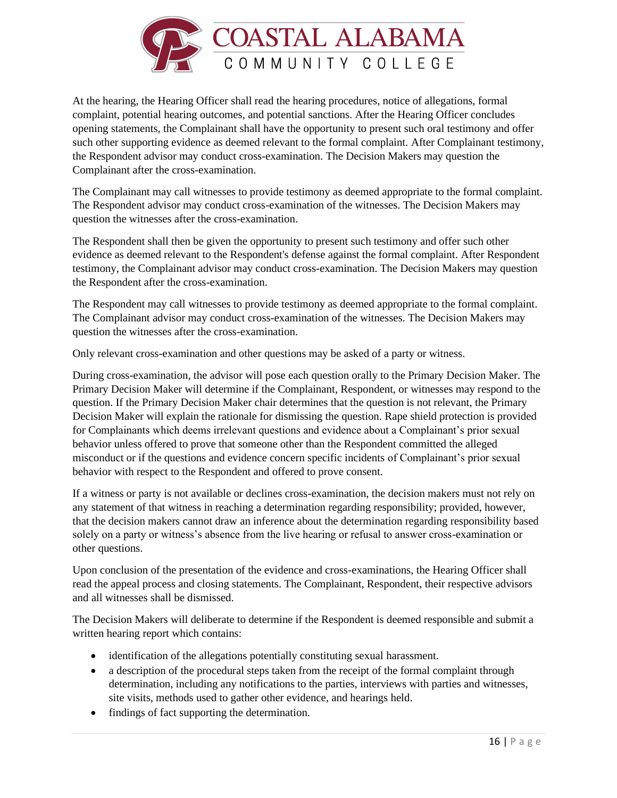

At the hearing, the Hearing Officer shall read the hearing procedures, notice of allegations, formal complaint, potential hearing outcomes, and potential sanctions. After the Hearing Officer concludes opening statements, the Complainant shall have the opportunity to present such oral testimony and offer such other supporting evidence as deemed relevant to the formal complaint. After Complainant testimony, the Respondent advisor may conduct cross-examination. The Decision Makers may question the Complainant after the cross-examination.

The Complainant may call witnesses to provide testimony as deemed appropriate to the formal complaint. The Respondent advisor may conduct cross-examination of the witnesses. The Decision Makers may question the witnesses after the cross-examination.

The Respondent shall then be given the opportunity to present such testimony and offer such other evidence as deemed relevant to the Respondent's defense against the formal complaint. After Respondent testimony, the Complainant advisor may conduct cross-examination. The Decision Makers may question the Respondent after the cross-examination.

The Respondent may call witnesses to provide testimony as deemed appropriate to the formal complaint. The Complainant advisor may conduct cross-examination of the witnesses. The Decision Makers may question the witnesses after the cross-examination.

Only relevant cross-examination and other questions may be asked of a party or witness.

During cross-examination, the advisor will pose each question orally to the Primary Decision Maker. The Primary Decision Maker will determine if the Complainant, Respondent, or witnesses may respond to the question. If the Primary Decision Maker chair determines that the question is not relevant, the Primary Decision Maker will explain the rationale for dismissing the question. Rape shield protection is provided for Complainants which deems irrelevant questions and evidence about a Complainant's prior sexual behavior unless offered to prove that someone other than the Respondent committed the alleged misconduct or if the questions and evidence concern specific incidents of Complainant's prior sexual behavior with respect to the Respondent and offered to prove consent.

If a witness or party is not available or declines cross-examination, the decision makers must not rely on any statement of that witness in reaching a determination regarding responsibility; provided, however, that the decision makers cannot draw an inference about the determination regarding responsibility based solely on a party or witness's absence from the live hearing or refusal to answer cross-examination or other questions.

Upon conclusion of the presentation of the evidence and cross-examinations, the Hearing Officer shall read the appeal process and closing statements. The Complainant, Respondent, their respective advisors and all witnesses shall be dismissed.

The Decision Makers will deliberate to determine if the Respondent is deemed responsible and submit a written hearing report which contains:

- identification of the allegations potentially constituting sexual harassment.
- a description of the procedural steps taken from the receipt of the formal complaint through determination, including any notifications to the parties, interviews with parties and witnesses, site visits, methods used to gather other evidence, and hearings held.
- findings of fact supporting the determination.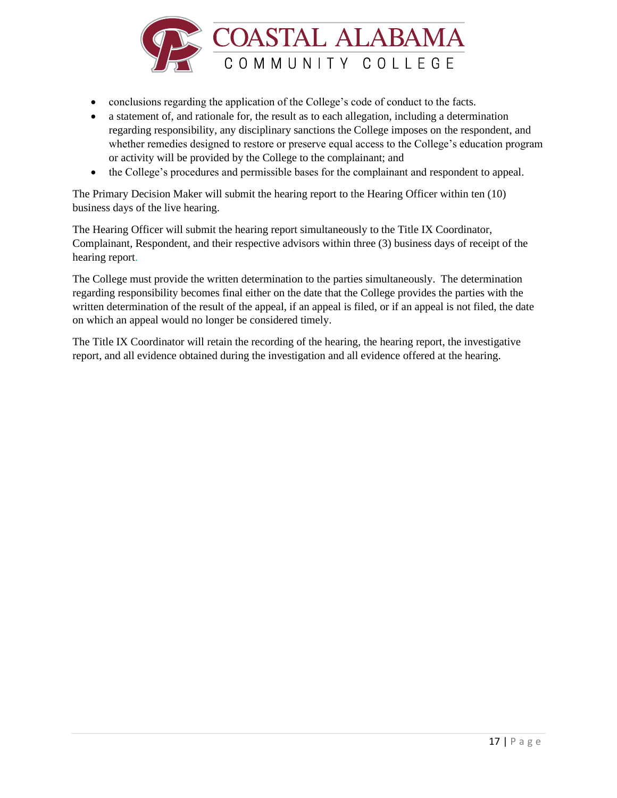

- conclusions regarding the application of the College's code of conduct to the facts.
- a statement of, and rationale for, the result as to each allegation, including a determination regarding responsibility, any disciplinary sanctions the College imposes on the respondent, and whether remedies designed to restore or preserve equal access to the College's education program or activity will be provided by the College to the complainant; and
- the College's procedures and permissible bases for the complainant and respondent to appeal.

The Primary Decision Maker will submit the hearing report to the Hearing Officer within ten (10) business days of the live hearing.

The Hearing Officer will submit the hearing report simultaneously to the Title IX Coordinator, Complainant, Respondent, and their respective advisors within three (3) business days of receipt of the hearing report.

The College must provide the written determination to the parties simultaneously. The determination regarding responsibility becomes final either on the date that the College provides the parties with the written determination of the result of the appeal, if an appeal is filed, or if an appeal is not filed, the date on which an appeal would no longer be considered timely.

The Title IX Coordinator will retain the recording of the hearing, the hearing report, the investigative report, and all evidence obtained during the investigation and all evidence offered at the hearing.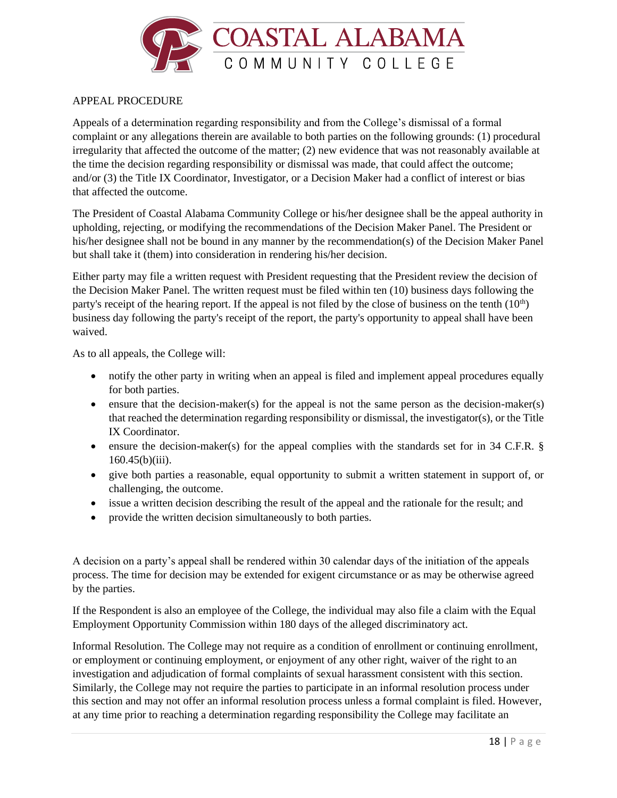

## APPEAL PROCEDURE

Appeals of a determination regarding responsibility and from the College's dismissal of a formal complaint or any allegations therein are available to both parties on the following grounds: (1) procedural irregularity that affected the outcome of the matter; (2) new evidence that was not reasonably available at the time the decision regarding responsibility or dismissal was made, that could affect the outcome; and/or (3) the Title IX Coordinator, Investigator, or a Decision Maker had a conflict of interest or bias that affected the outcome.

The President of Coastal Alabama Community College or his/her designee shall be the appeal authority in upholding, rejecting, or modifying the recommendations of the Decision Maker Panel. The President or his/her designee shall not be bound in any manner by the recommendation(s) of the Decision Maker Panel but shall take it (them) into consideration in rendering his/her decision.

Either party may file a written request with President requesting that the President review the decision of the Decision Maker Panel. The written request must be filed within ten (10) business days following the party's receipt of the hearing report. If the appeal is not filed by the close of business on the tenth  $(10<sup>th</sup>)$ business day following the party's receipt of the report, the party's opportunity to appeal shall have been waived.

As to all appeals, the College will:

- notify the other party in writing when an appeal is filed and implement appeal procedures equally for both parties.
- ensure that the decision-maker(s) for the appeal is not the same person as the decision-maker(s) that reached the determination regarding responsibility or dismissal, the investigator(s), or the Title IX Coordinator.
- ensure the decision-maker(s) for the appeal complies with the standards set for in 34 C.F.R. §  $160.45(b)(iii)$ .
- give both parties a reasonable, equal opportunity to submit a written statement in support of, or challenging, the outcome.
- issue a written decision describing the result of the appeal and the rationale for the result; and
- provide the written decision simultaneously to both parties.

A decision on a party's appeal shall be rendered within 30 calendar days of the initiation of the appeals process. The time for decision may be extended for exigent circumstance or as may be otherwise agreed by the parties.

If the Respondent is also an employee of the College, the individual may also file a claim with the Equal Employment Opportunity Commission within 180 days of the alleged discriminatory act.

Informal Resolution. The College may not require as a condition of enrollment or continuing enrollment, or employment or continuing employment, or enjoyment of any other right, waiver of the right to an investigation and adjudication of formal complaints of sexual harassment consistent with this section. Similarly, the College may not require the parties to participate in an informal resolution process under this section and may not offer an informal resolution process unless a formal complaint is filed. However, at any time prior to reaching a determination regarding responsibility the College may facilitate an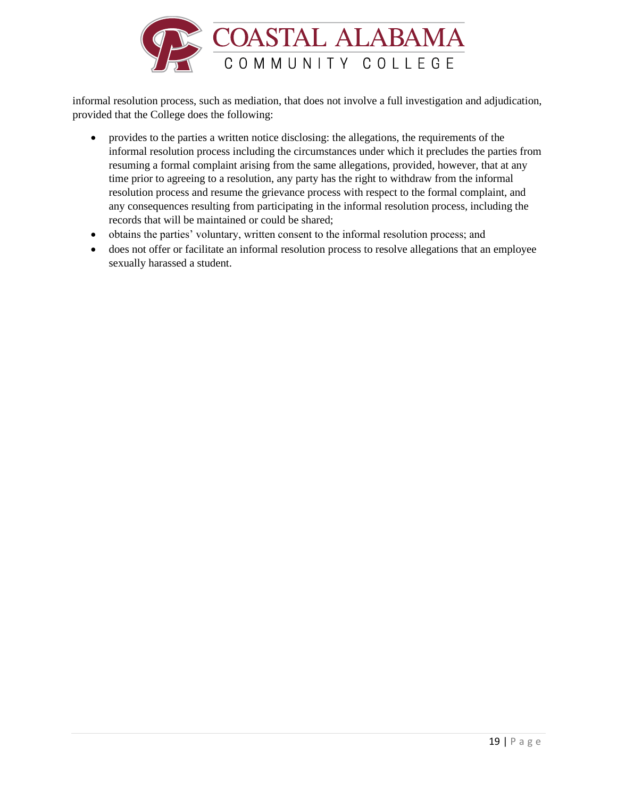

informal resolution process, such as mediation, that does not involve a full investigation and adjudication, provided that the College does the following:

- provides to the parties a written notice disclosing: the allegations, the requirements of the informal resolution process including the circumstances under which it precludes the parties from resuming a formal complaint arising from the same allegations, provided, however, that at any time prior to agreeing to a resolution, any party has the right to withdraw from the informal resolution process and resume the grievance process with respect to the formal complaint, and any consequences resulting from participating in the informal resolution process, including the records that will be maintained or could be shared;
- obtains the parties' voluntary, written consent to the informal resolution process; and
- does not offer or facilitate an informal resolution process to resolve allegations that an employee sexually harassed a student.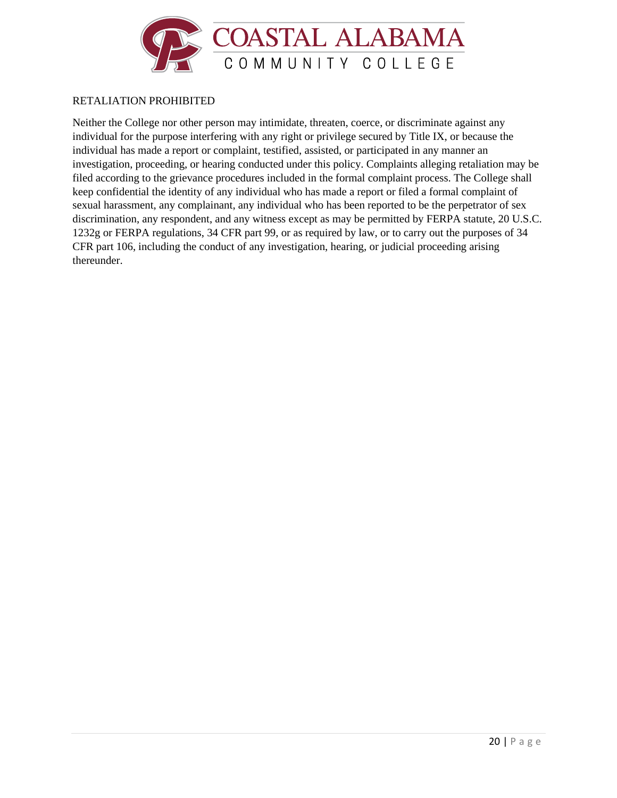

### RETALIATION PROHIBITED

Neither the College nor other person may intimidate, threaten, coerce, or discriminate against any individual for the purpose interfering with any right or privilege secured by Title IX, or because the individual has made a report or complaint, testified, assisted, or participated in any manner an investigation, proceeding, or hearing conducted under this policy. Complaints alleging retaliation may be filed according to the grievance procedures included in the formal complaint process. The College shall keep confidential the identity of any individual who has made a report or filed a formal complaint of sexual harassment, any complainant, any individual who has been reported to be the perpetrator of sex discrimination, any respondent, and any witness except as may be permitted by FERPA statute, 20 U.S.C. 1232g or FERPA regulations, 34 CFR part 99, or as required by law, or to carry out the purposes of 34 CFR part 106, including the conduct of any investigation, hearing, or judicial proceeding arising thereunder.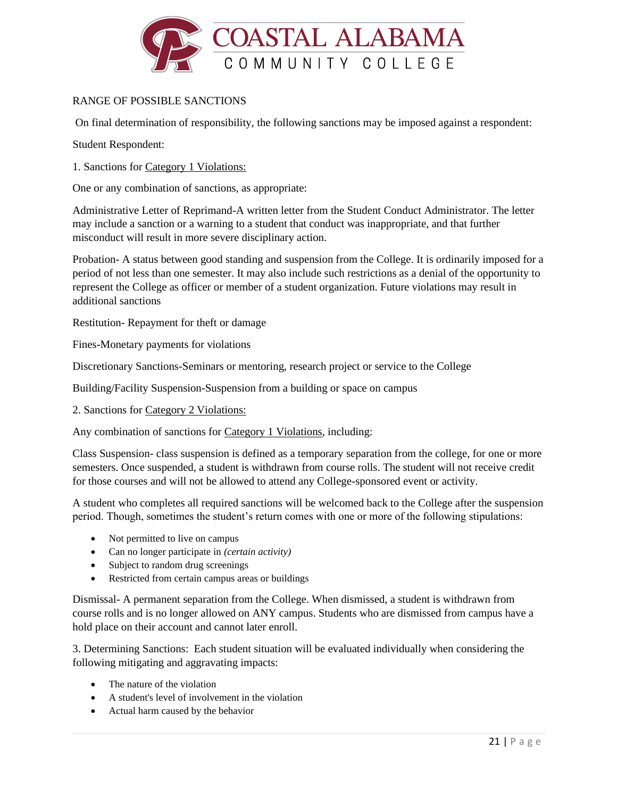

# RANGE OF POSSIBLE SANCTIONS

On final determination of responsibility, the following sanctions may be imposed against a respondent:

Student Respondent:

1. Sanctions for Category 1 Violations:

One or any combination of sanctions, as appropriate:

Administrative Letter of Reprimand-A written letter from the Student Conduct Administrator. The letter may include a sanction or a warning to a student that conduct was inappropriate, and that further misconduct will result in more severe disciplinary action.

Probation- A status between good standing and suspension from the College. It is ordinarily imposed for a period of not less than one semester. It may also include such restrictions as a denial of the opportunity to represent the College as officer or member of a student organization. Future violations may result in additional sanctions

Restitution- Repayment for theft or damage

Fines-Monetary payments for violations

Discretionary Sanctions-Seminars or mentoring, research project or service to the College

Building/Facility Suspension-Suspension from a building or space on campus

2. Sanctions for Category 2 Violations:

Any combination of sanctions for Category 1 Violations, including:

Class Suspension- class suspension is defined as a temporary separation from the college, for one or more semesters. Once suspended, a student is withdrawn from course rolls. The student will not receive credit for those courses and will not be allowed to attend any College-sponsored event or activity.

A student who completes all required sanctions will be welcomed back to the College after the suspension period. Though, sometimes the student's return comes with one or more of the following stipulations:

- Not permitted to live on campus
- Can no longer participate in *(certain activity)*
- Subject to random drug screenings
- Restricted from certain campus areas or buildings

Dismissal- A permanent separation from the College. When dismissed, a student is withdrawn from course rolls and is no longer allowed on ANY campus. Students who are dismissed from campus have a hold place on their account and cannot later enroll.

3. Determining Sanctions: Each student situation will be evaluated individually when considering the following mitigating and aggravating impacts:

- The nature of the violation
- A student's level of involvement in the violation
- Actual harm caused by the behavior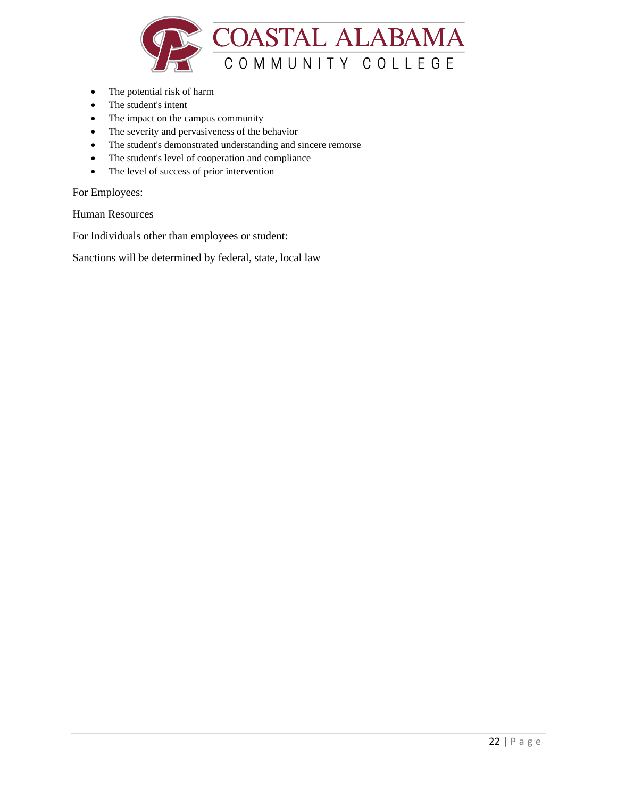

- The potential risk of harm
- The student's intent
- The impact on the campus community
- The severity and pervasiveness of the behavior
- The student's demonstrated understanding and sincere remorse
- The student's level of cooperation and compliance
- The level of success of prior intervention

For Employees:

Human Resources

For Individuals other than employees or student:

Sanctions will be determined by federal, state, local law